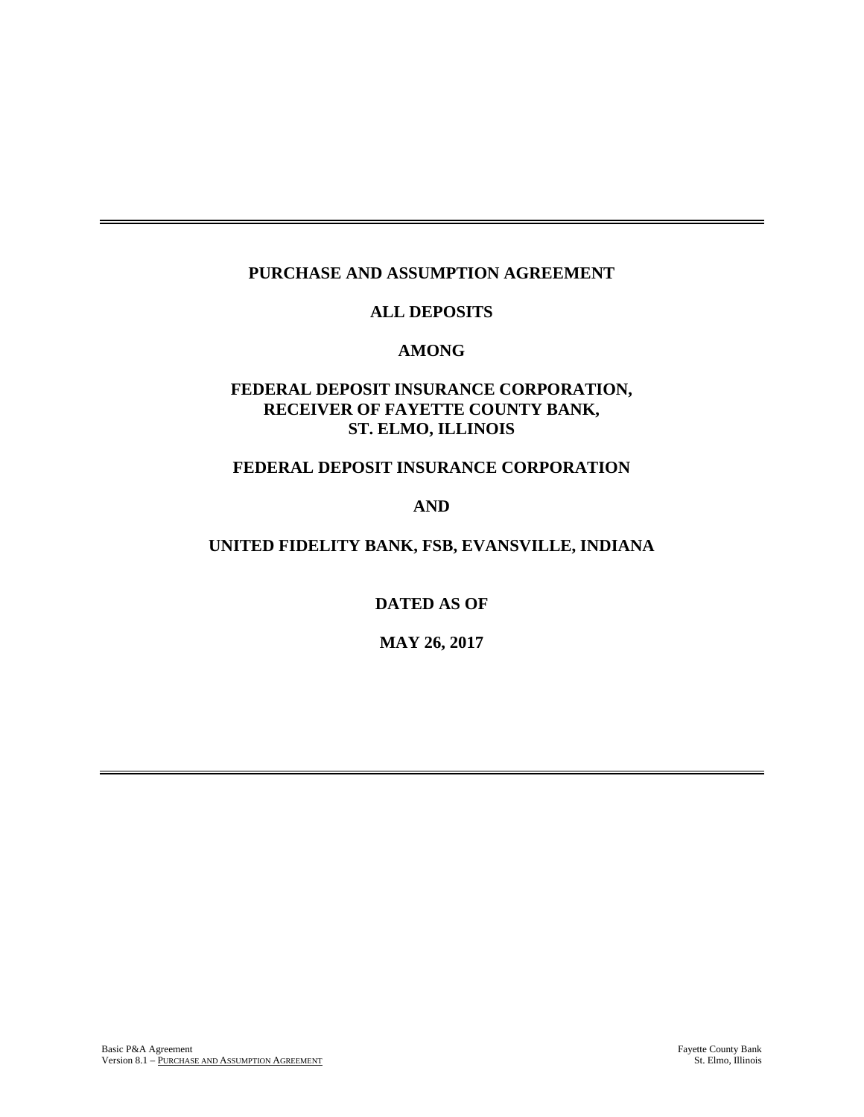# **PURCHASE AND ASSUMPTION AGREEMENT**

## **ALL DEPOSITS**

#### **AMONG**

# **FEDERAL DEPOSIT INSURANCE CORPORATION, RECEIVER OF FAYETTE COUNTY BANK, ST. ELMO, ILLINOIS**

#### **FEDERAL DEPOSIT INSURANCE CORPORATION**

### **AND**

#### **UNITED FIDELITY BANK, FSB, EVANSVILLE, INDIANA**

**DATED AS OF**

**MAY 26, 2017**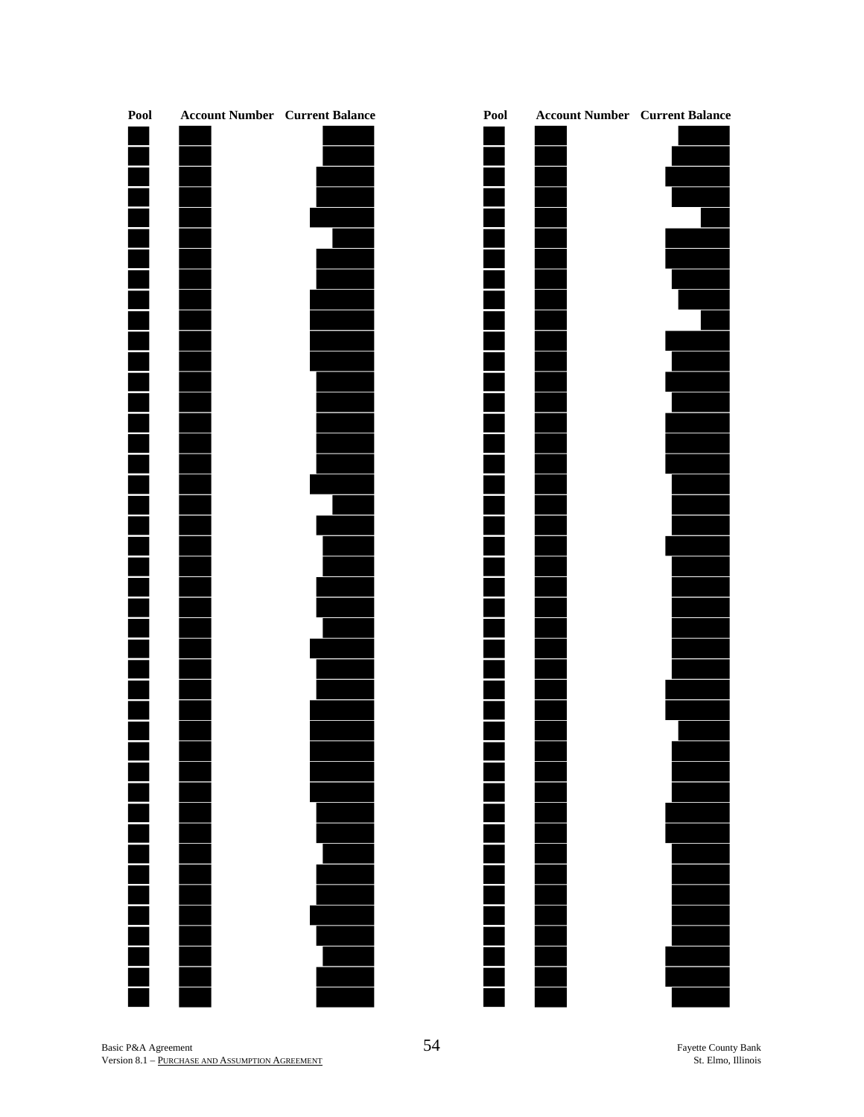

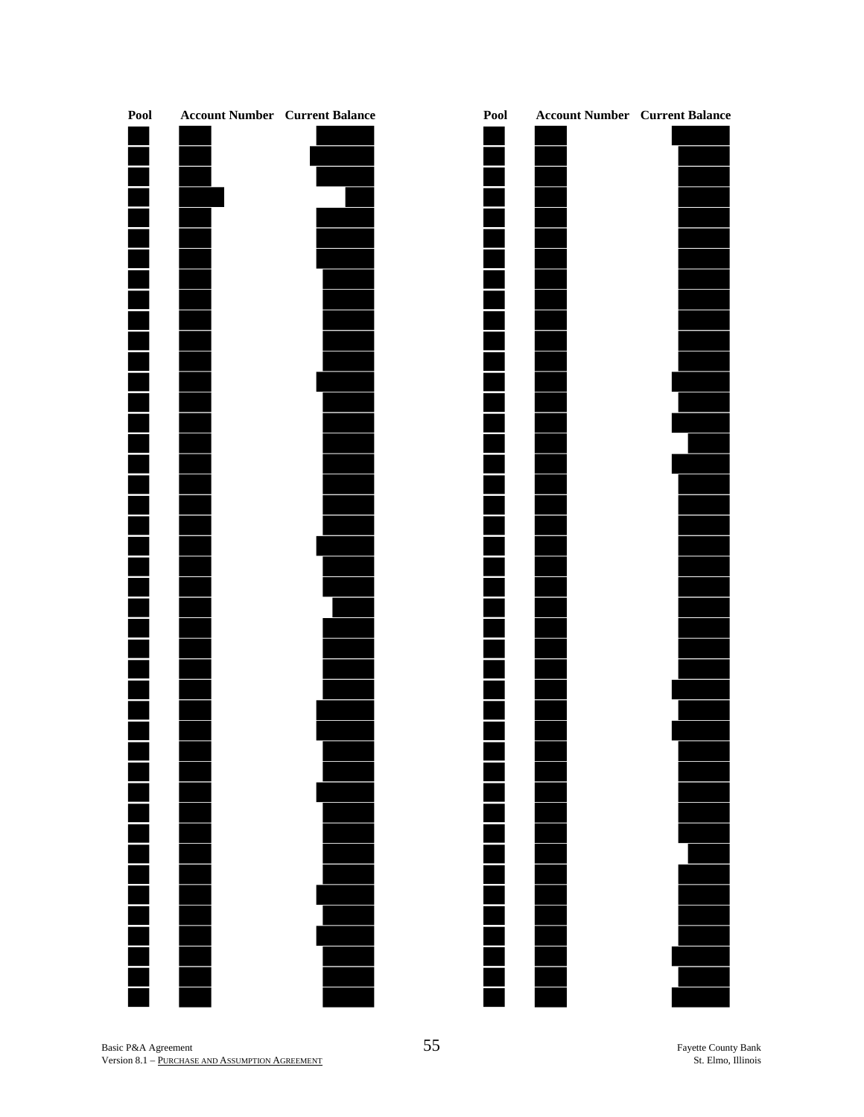

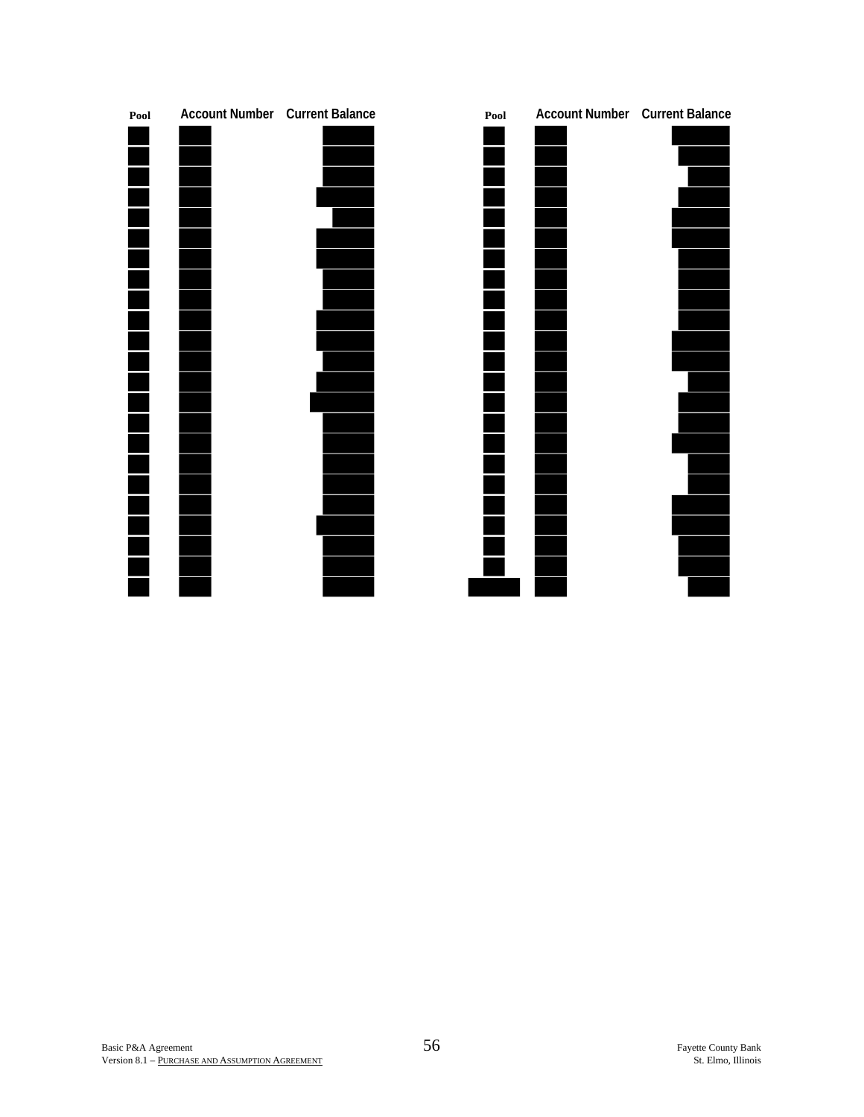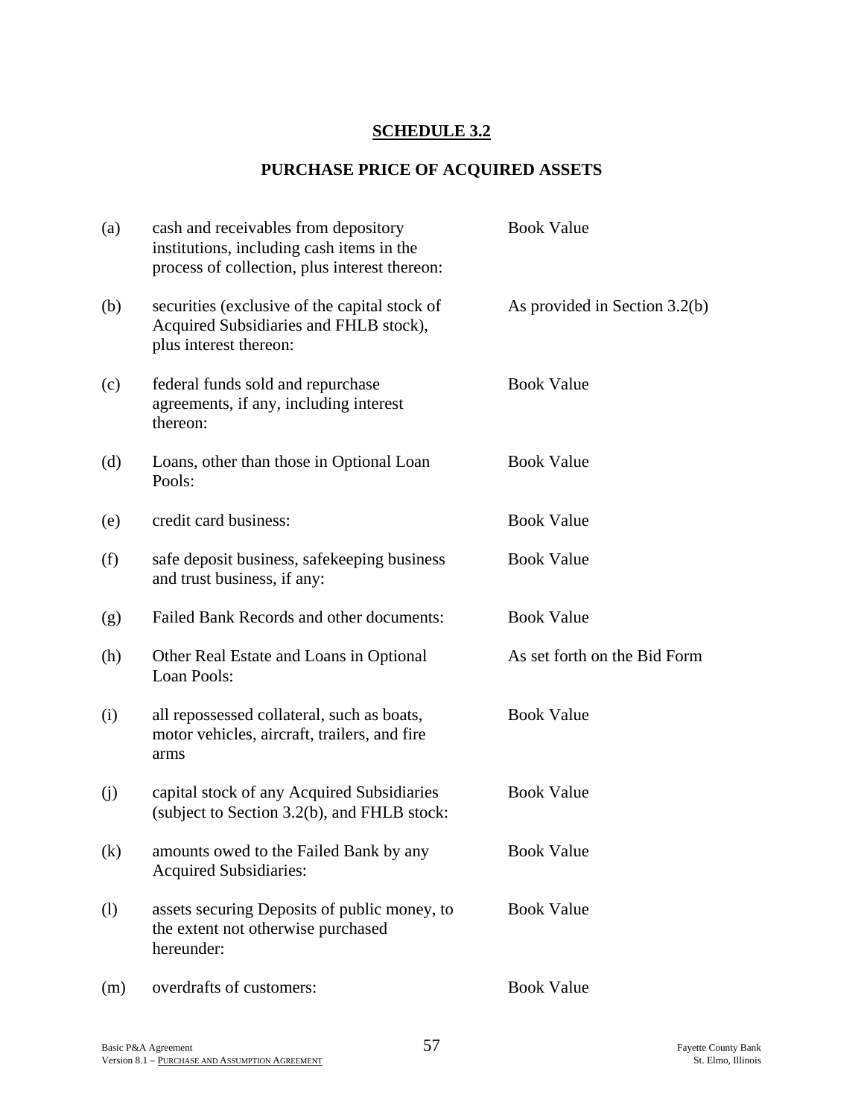# **SCHEDULE 3.2**

## **PURCHASE PRICE OF ACQUIRED ASSETS**

| (a) | cash and receivables from depository<br>institutions, including cash items in the<br>process of collection, plus interest thereon: | <b>Book Value</b>             |
|-----|------------------------------------------------------------------------------------------------------------------------------------|-------------------------------|
| (b) | securities (exclusive of the capital stock of<br>Acquired Subsidiaries and FHLB stock),<br>plus interest thereon:                  | As provided in Section 3.2(b) |
| (c) | federal funds sold and repurchase<br>agreements, if any, including interest<br>thereon:                                            | <b>Book Value</b>             |
| (d) | Loans, other than those in Optional Loan<br>Pools:                                                                                 | <b>Book Value</b>             |
| (e) | credit card business:                                                                                                              | <b>Book Value</b>             |
| (f) | safe deposit business, safekeeping business<br>and trust business, if any:                                                         | <b>Book Value</b>             |
| (g) | Failed Bank Records and other documents:                                                                                           | <b>Book Value</b>             |
| (h) | Other Real Estate and Loans in Optional<br>Loan Pools:                                                                             | As set forth on the Bid Form  |
| (i) | all repossessed collateral, such as boats,<br>motor vehicles, aircraft, trailers, and fire<br>arms                                 | <b>Book Value</b>             |
| (j) | capital stock of any Acquired Subsidiaries<br>(subject to Section 3.2(b), and FHLB stock:                                          | <b>Book Value</b>             |
| (k) | amounts owed to the Failed Bank by any<br><b>Acquired Subsidiaries:</b>                                                            | <b>Book Value</b>             |
| (1) | assets securing Deposits of public money, to<br>the extent not otherwise purchased<br>hereunder:                                   | <b>Book Value</b>             |
| (m) | overdrafts of customers:                                                                                                           | <b>Book Value</b>             |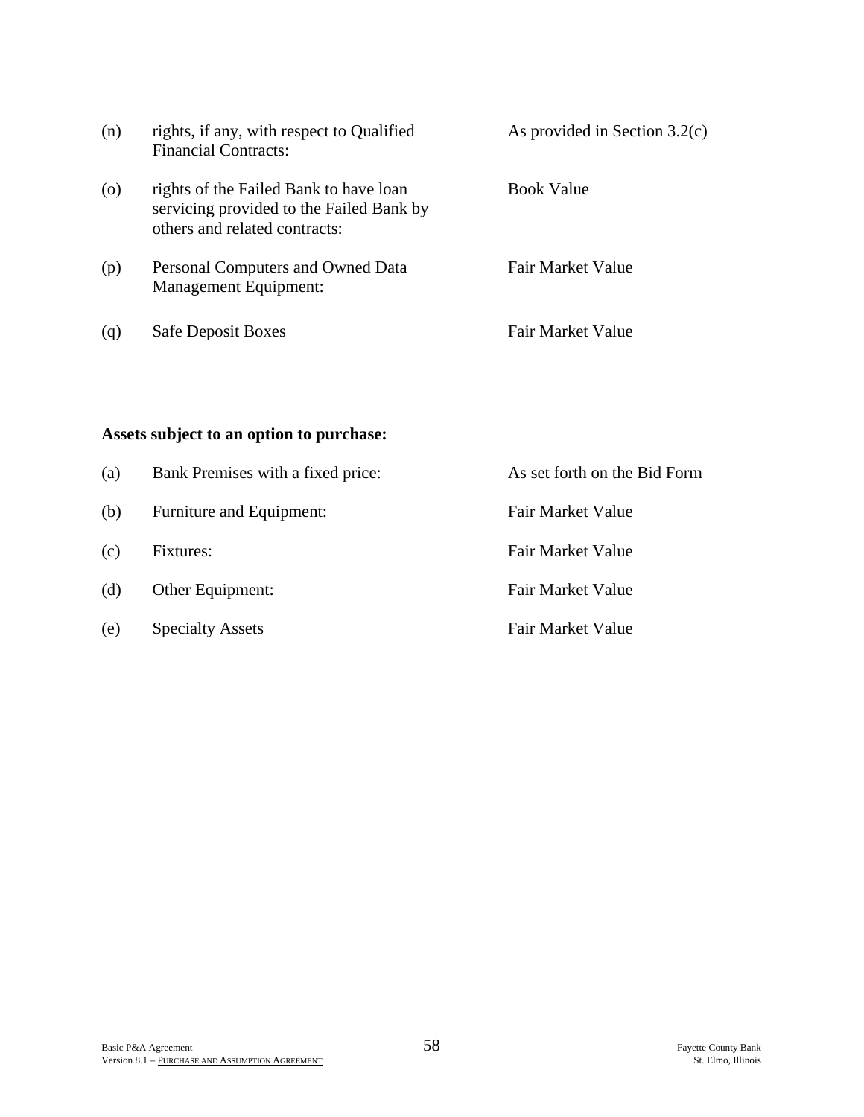| (n)                | rights, if any, with respect to Qualified<br><b>Financial Contracts:</b>                                            | As provided in Section $3.2(c)$ |
|--------------------|---------------------------------------------------------------------------------------------------------------------|---------------------------------|
| $\left( 0 \right)$ | rights of the Failed Bank to have loan<br>servicing provided to the Failed Bank by<br>others and related contracts: | <b>Book Value</b>               |
| (p)                | Personal Computers and Owned Data<br><b>Management Equipment:</b>                                                   | Fair Market Value               |
| (q)                | <b>Safe Deposit Boxes</b>                                                                                           | Fair Market Value               |

# **Assets subject to an option to purchase:**

| (a) | Bank Premises with a fixed price: | As set forth on the Bid Form |
|-----|-----------------------------------|------------------------------|
| (b) | Furniture and Equipment:          | <b>Fair Market Value</b>     |
| (c) | Fixtures:                         | <b>Fair Market Value</b>     |
| (d) | Other Equipment:                  | Fair Market Value            |
| (e) | <b>Specialty Assets</b>           | Fair Market Value            |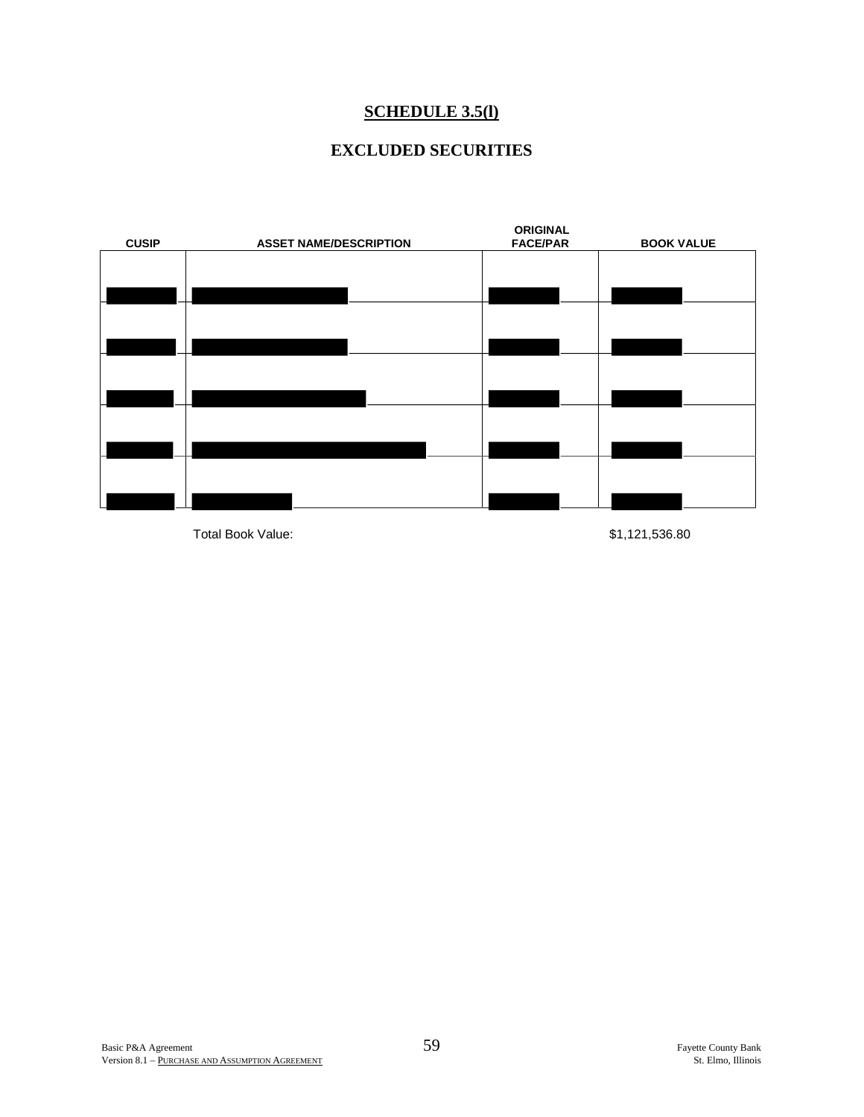## **SCHEDULE 3.5(l)**

# **EXCLUDED SECURITIES**



Total Book Value: \$1,121,536.80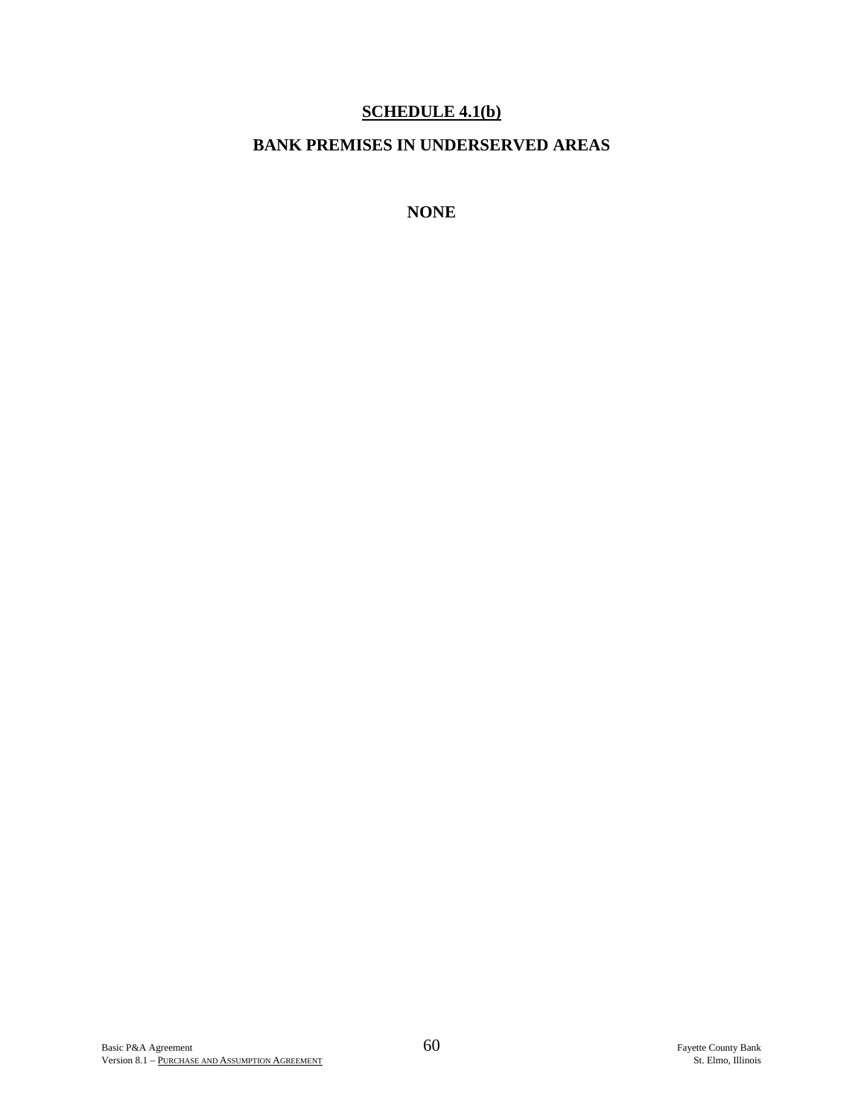# **SCHEDULE 4.1(b)**

## **BANK PREMISES IN UNDERSERVED AREAS**

**NONE**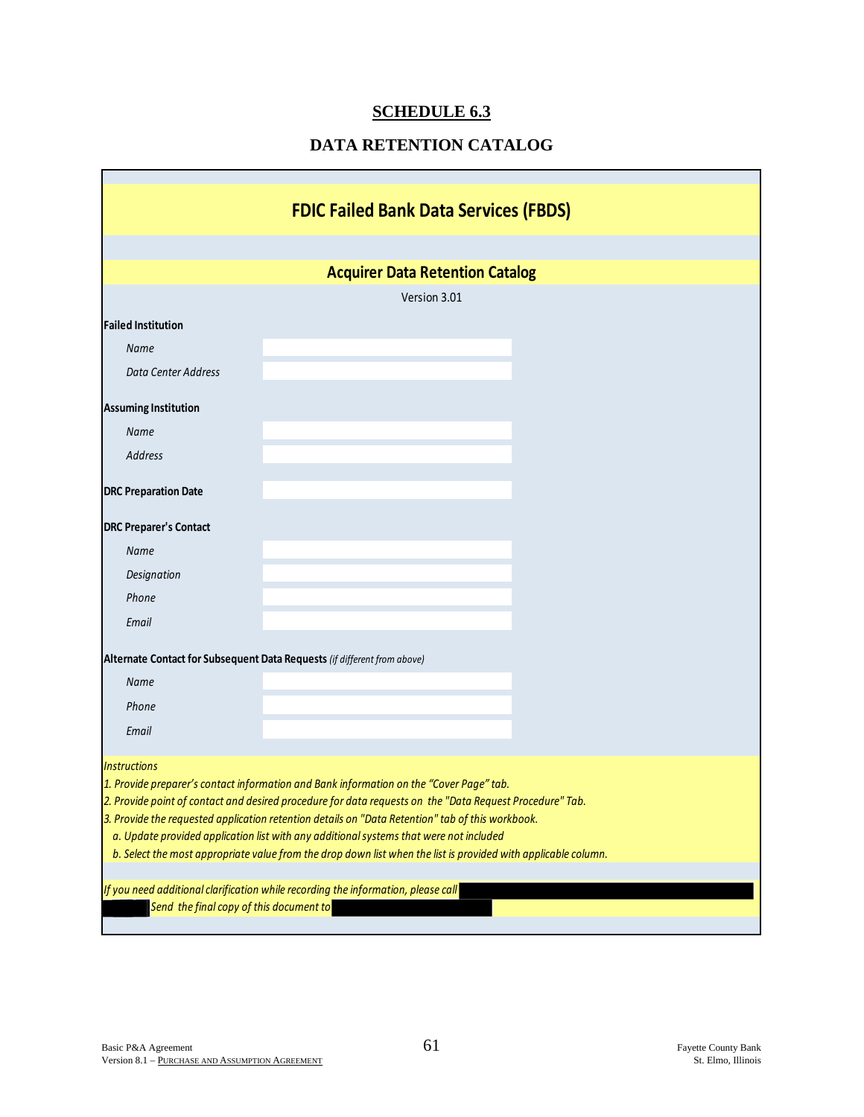# **SCHEDULE 6.3**

# **DATA RETENTION CATALOG**

|                                                                                                                                                                                                                                                                                                                                                                                                                                                                                                                     | <b>FDIC Failed Bank Data Services (FBDS)</b>                                      |  |  |  |  |  |
|---------------------------------------------------------------------------------------------------------------------------------------------------------------------------------------------------------------------------------------------------------------------------------------------------------------------------------------------------------------------------------------------------------------------------------------------------------------------------------------------------------------------|-----------------------------------------------------------------------------------|--|--|--|--|--|
|                                                                                                                                                                                                                                                                                                                                                                                                                                                                                                                     |                                                                                   |  |  |  |  |  |
|                                                                                                                                                                                                                                                                                                                                                                                                                                                                                                                     | <b>Acquirer Data Retention Catalog</b>                                            |  |  |  |  |  |
|                                                                                                                                                                                                                                                                                                                                                                                                                                                                                                                     | Version 3.01                                                                      |  |  |  |  |  |
| <b>Failed Institution</b>                                                                                                                                                                                                                                                                                                                                                                                                                                                                                           |                                                                                   |  |  |  |  |  |
| <b>Name</b>                                                                                                                                                                                                                                                                                                                                                                                                                                                                                                         |                                                                                   |  |  |  |  |  |
| <b>Data Center Address</b>                                                                                                                                                                                                                                                                                                                                                                                                                                                                                          |                                                                                   |  |  |  |  |  |
| <b>Assuming Institution</b>                                                                                                                                                                                                                                                                                                                                                                                                                                                                                         |                                                                                   |  |  |  |  |  |
| <b>Name</b>                                                                                                                                                                                                                                                                                                                                                                                                                                                                                                         |                                                                                   |  |  |  |  |  |
| <b>Address</b>                                                                                                                                                                                                                                                                                                                                                                                                                                                                                                      |                                                                                   |  |  |  |  |  |
| <b>DRC Preparation Date</b>                                                                                                                                                                                                                                                                                                                                                                                                                                                                                         |                                                                                   |  |  |  |  |  |
| <b>DRC Preparer's Contact</b>                                                                                                                                                                                                                                                                                                                                                                                                                                                                                       |                                                                                   |  |  |  |  |  |
| Name                                                                                                                                                                                                                                                                                                                                                                                                                                                                                                                |                                                                                   |  |  |  |  |  |
| Designation                                                                                                                                                                                                                                                                                                                                                                                                                                                                                                         |                                                                                   |  |  |  |  |  |
| Phone                                                                                                                                                                                                                                                                                                                                                                                                                                                                                                               |                                                                                   |  |  |  |  |  |
| Email                                                                                                                                                                                                                                                                                                                                                                                                                                                                                                               |                                                                                   |  |  |  |  |  |
| Alternate Contact for Subsequent Data Requests (if different from above)                                                                                                                                                                                                                                                                                                                                                                                                                                            |                                                                                   |  |  |  |  |  |
| Name                                                                                                                                                                                                                                                                                                                                                                                                                                                                                                                |                                                                                   |  |  |  |  |  |
| Phone                                                                                                                                                                                                                                                                                                                                                                                                                                                                                                               |                                                                                   |  |  |  |  |  |
| Email                                                                                                                                                                                                                                                                                                                                                                                                                                                                                                               |                                                                                   |  |  |  |  |  |
| <b>Instructions</b>                                                                                                                                                                                                                                                                                                                                                                                                                                                                                                 |                                                                                   |  |  |  |  |  |
| 1. Provide preparer's contact information and Bank information on the "Cover Page" tab.<br>2. Provide point of contact and desired procedure for data requests on the "Data Request Procedure" Tab.<br>3. Provide the requested application retention details on "Data Retention" tab of this workbook.<br>a. Update provided application list with any additional systems that were not included<br>b. Select the most appropriate value from the drop down list when the list is provided with applicable column. |                                                                                   |  |  |  |  |  |
| Send the final copy of this document to                                                                                                                                                                                                                                                                                                                                                                                                                                                                             | If you need additional clarification while recording the information, please call |  |  |  |  |  |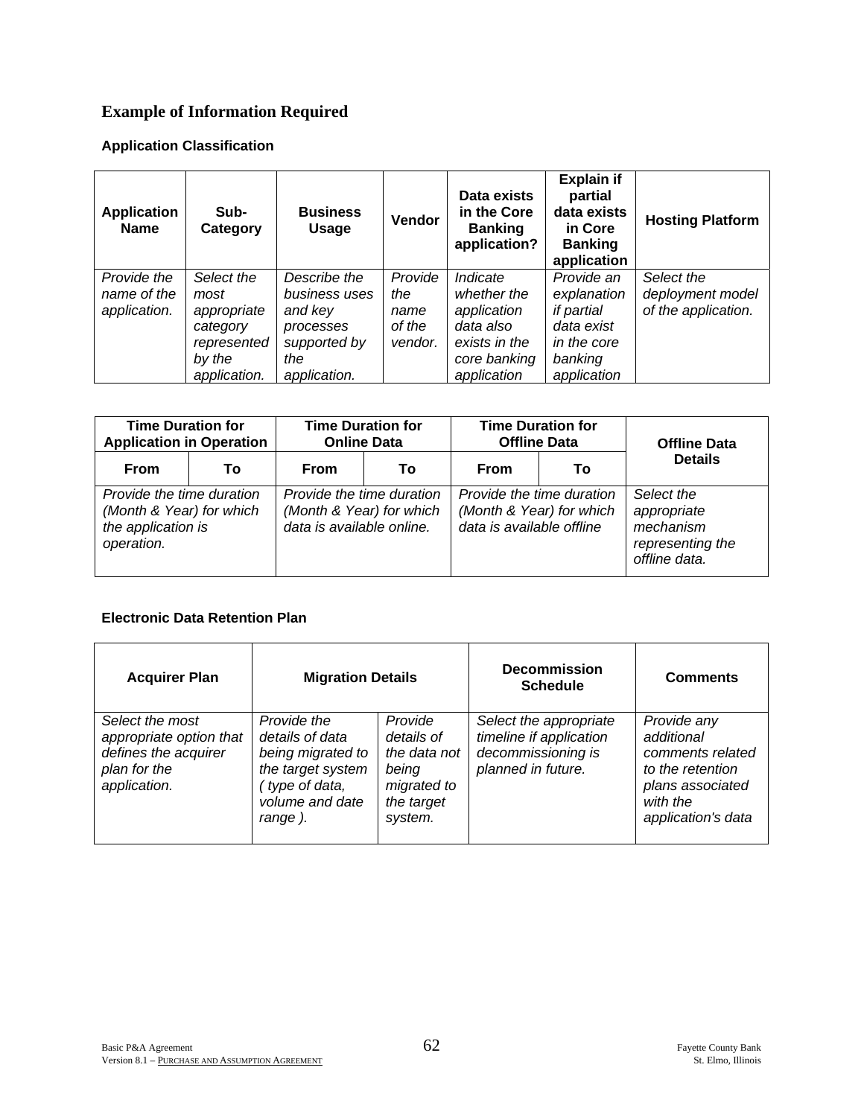# **Example of Information Required**

#### **Application Classification**

| <b>Application</b><br><b>Name</b>          | Sub-<br>Category                                                                       | <b>Business</b><br>Usage                                                                     | <b>Vendor</b>                               | Data exists<br>in the Core<br><b>Banking</b><br>application?                                        | <b>Explain if</b><br>partial<br>data exists<br>in Core<br><b>Banking</b><br>application        | <b>Hosting Platform</b>                               |
|--------------------------------------------|----------------------------------------------------------------------------------------|----------------------------------------------------------------------------------------------|---------------------------------------------|-----------------------------------------------------------------------------------------------------|------------------------------------------------------------------------------------------------|-------------------------------------------------------|
| Provide the<br>name of the<br>application. | Select the<br>most<br>appropriate<br>category<br>represented<br>by the<br>application. | Describe the<br>business uses<br>and key<br>processes<br>supported by<br>the<br>application. | Provide<br>the<br>name<br>of the<br>vendor. | Indicate<br>whether the<br>application<br>data also<br>exists in the<br>core banking<br>application | Provide an<br>explanation<br>if partial<br>data exist<br>in the core<br>banking<br>application | Select the<br>deployment model<br>of the application. |

| <b>Time Duration for</b><br><b>Application in Operation</b>                               |    | <b>Time Duration for</b><br><b>Online Data</b>                                     |    | <b>Time Duration for</b><br><b>Offline Data</b>       |                           | <b>Offline Data</b>                                                         |  |
|-------------------------------------------------------------------------------------------|----|------------------------------------------------------------------------------------|----|-------------------------------------------------------|---------------------------|-----------------------------------------------------------------------------|--|
| <b>From</b>                                                                               | Т٥ | From                                                                               | Т٥ | From                                                  | To                        | <b>Details</b>                                                              |  |
| Provide the time duration<br>(Month & Year) for which<br>the application is<br>operation. |    | Provide the time duration<br>(Month & Year) for which<br>data is available online. |    | (Month & Year) for which<br>data is available offline | Provide the time duration | Select the<br>appropriate<br>mechanism<br>representing the<br>offline data. |  |

#### **Electronic Data Retention Plan**

| <b>Acquirer Plan</b>                                                                               | <b>Migration Details</b>                                                                                                 |                                                                                        | <b>Decommission</b><br><b>Schedule</b>                                                        | <b>Comments</b>                                                                                                         |
|----------------------------------------------------------------------------------------------------|--------------------------------------------------------------------------------------------------------------------------|----------------------------------------------------------------------------------------|-----------------------------------------------------------------------------------------------|-------------------------------------------------------------------------------------------------------------------------|
| Select the most<br>appropriate option that<br>defines the acquirer<br>plan for the<br>application. | Provide the<br>details of data<br>being migrated to<br>the target system<br>(type of data,<br>volume and date<br>range). | Provide<br>details of<br>the data not<br>being<br>migrated to<br>the target<br>system. | Select the appropriate<br>timeline if application<br>decommissioning is<br>planned in future. | Provide any<br>additional<br>comments related<br>to the retention<br>plans associated<br>with the<br>application's data |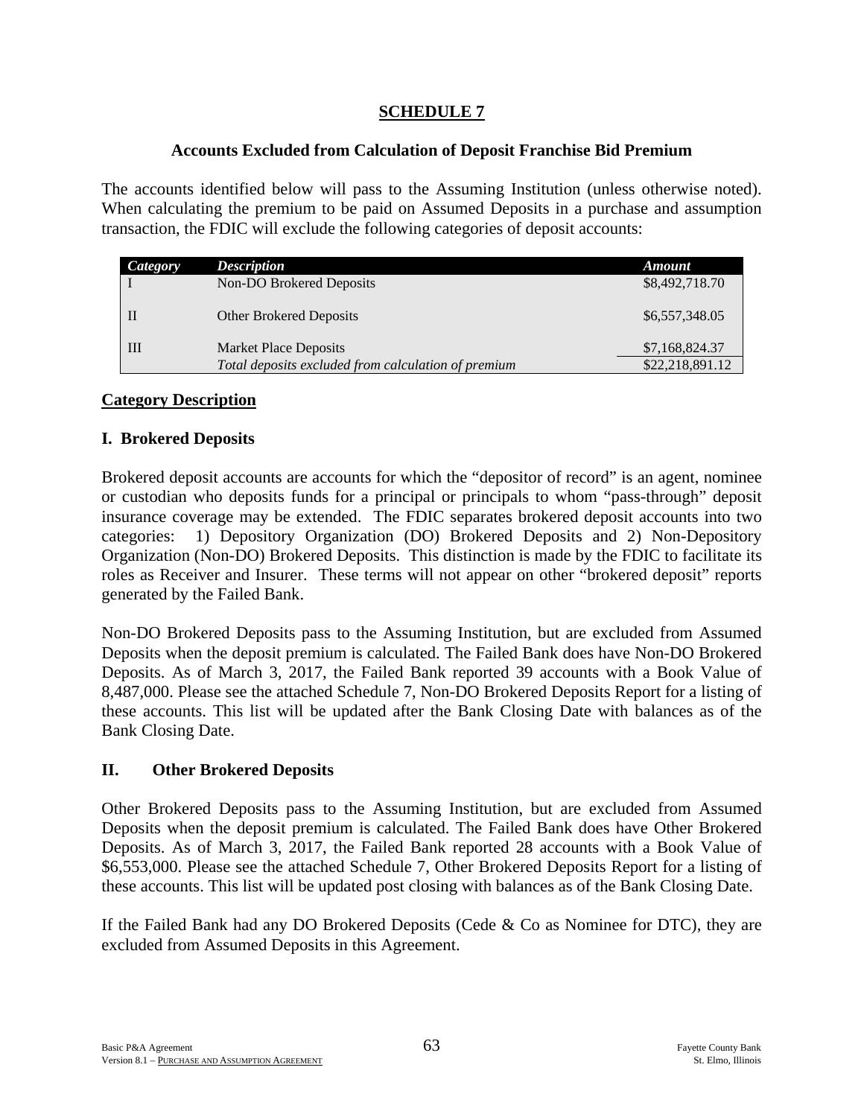## **SCHEDULE 7**

### **Accounts Excluded from Calculation of Deposit Franchise Bid Premium**

The accounts identified below will pass to the Assuming Institution (unless otherwise noted). When calculating the premium to be paid on Assumed Deposits in a purchase and assumption transaction, the FDIC will exclude the following categories of deposit accounts:

| Category | <b>Description</b>                                  | <b>Amount</b>   |
|----------|-----------------------------------------------------|-----------------|
|          | Non-DO Brokered Deposits                            | \$8,492,718.70  |
|          | Other Brokered Deposits                             | \$6,557,348.05  |
| Ш        | <b>Market Place Deposits</b>                        | \$7,168,824.37  |
|          | Total deposits excluded from calculation of premium | \$22,218,891.12 |

## **Category Description**

## **I. Brokered Deposits**

Brokered deposit accounts are accounts for which the "depositor of record" is an agent, nominee or custodian who deposits funds for a principal or principals to whom "pass-through" deposit insurance coverage may be extended. The FDIC separates brokered deposit accounts into two categories: 1) Depository Organization (DO) Brokered Deposits and 2) Non-Depository Organization (Non-DO) Brokered Deposits. This distinction is made by the FDIC to facilitate its roles as Receiver and Insurer. These terms will not appear on other "brokered deposit" reports generated by the Failed Bank.

Non-DO Brokered Deposits pass to the Assuming Institution, but are excluded from Assumed Deposits when the deposit premium is calculated. The Failed Bank does have Non-DO Brokered Deposits. As of March 3, 2017, the Failed Bank reported 39 accounts with a Book Value of 8,487,000. Please see the attached Schedule 7, Non-DO Brokered Deposits Report for a listing of these accounts. This list will be updated after the Bank Closing Date with balances as of the Bank Closing Date.

#### **II. Other Brokered Deposits**

Other Brokered Deposits pass to the Assuming Institution, but are excluded from Assumed Deposits when the deposit premium is calculated. The Failed Bank does have Other Brokered Deposits. As of March 3, 2017, the Failed Bank reported 28 accounts with a Book Value of \$6,553,000. Please see the attached Schedule 7, Other Brokered Deposits Report for a listing of these accounts. This list will be updated post closing with balances as of the Bank Closing Date.

If the Failed Bank had any DO Brokered Deposits (Cede & Co as Nominee for DTC), they are excluded from Assumed Deposits in this Agreement.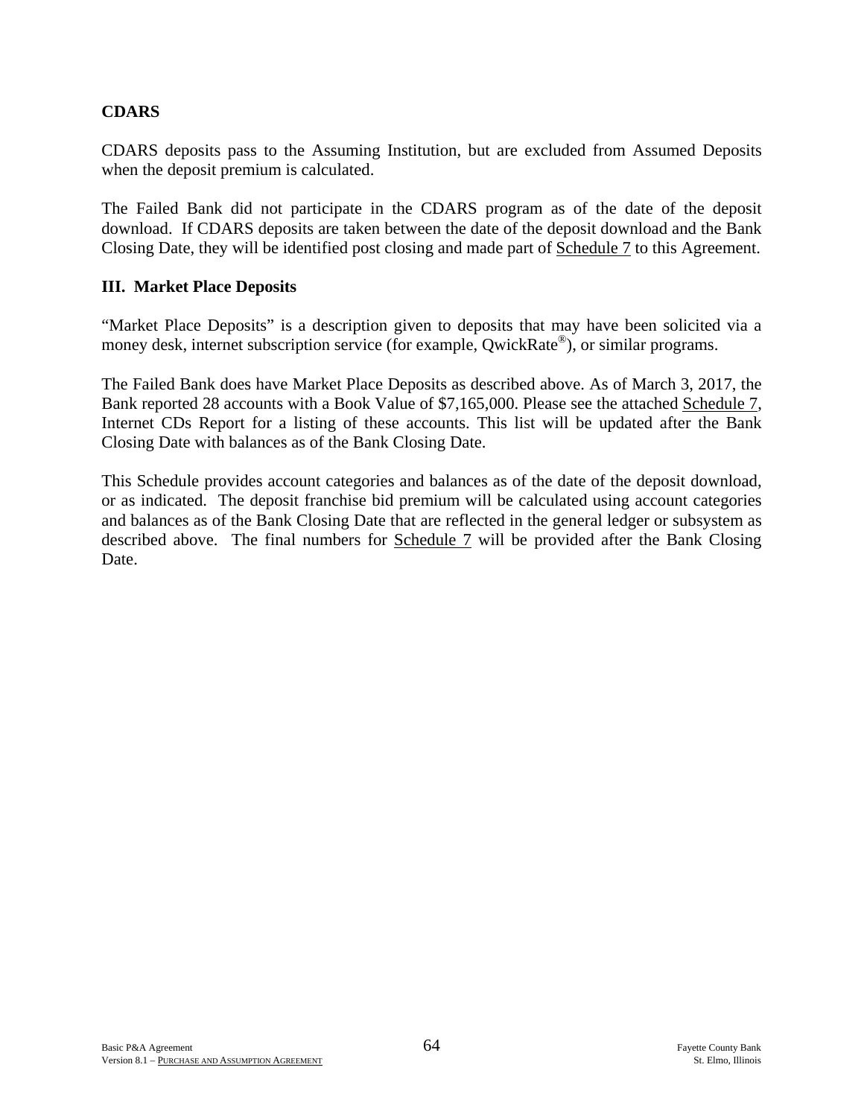### **CDARS**

CDARS deposits pass to the Assuming Institution, but are excluded from Assumed Deposits when the deposit premium is calculated.

The Failed Bank did not participate in the CDARS program as of the date of the deposit download. If CDARS deposits are taken between the date of the deposit download and the Bank Closing Date, they will be identified post closing and made part of Schedule 7 to this Agreement.

#### **III. Market Place Deposits**

"Market Place Deposits" is a description given to deposits that may have been solicited via a money desk, internet subscription service (for example, QwickRate<sup>®</sup>), or similar programs.

The Failed Bank does have Market Place Deposits as described above. As of March 3, 2017, the Bank reported 28 accounts with a Book Value of \$7,165,000. Please see the attached Schedule 7, Internet CDs Report for a listing of these accounts. This list will be updated after the Bank Closing Date with balances as of the Bank Closing Date.

This Schedule provides account categories and balances as of the date of the deposit download, or as indicated. The deposit franchise bid premium will be calculated using account categories and balances as of the Bank Closing Date that are reflected in the general ledger or subsystem as described above. The final numbers for Schedule 7 will be provided after the Bank Closing Date.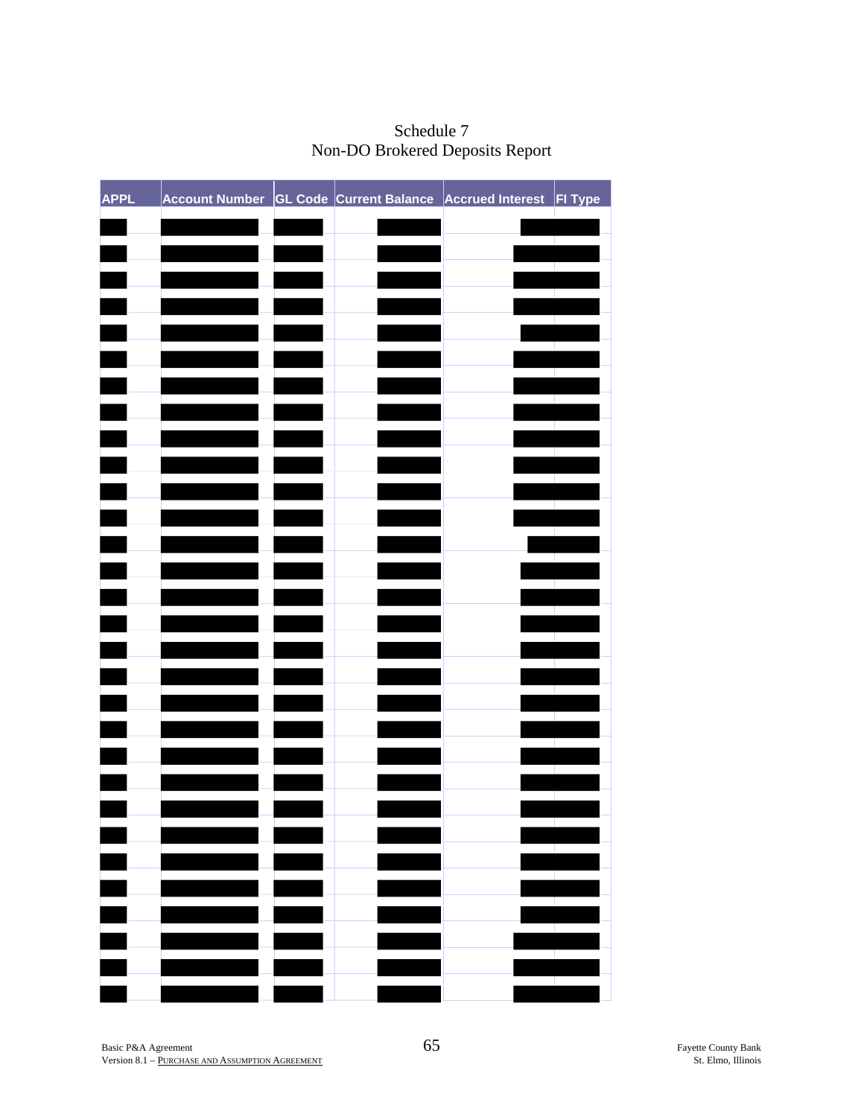| <b>APPL</b> |  | Account Number GL Code Current Balance Accrued Interest FI Type |              |
|-------------|--|-----------------------------------------------------------------|--------------|
|             |  |                                                                 |              |
|             |  |                                                                 |              |
|             |  |                                                                 |              |
|             |  |                                                                 |              |
|             |  |                                                                 |              |
|             |  |                                                                 |              |
|             |  |                                                                 |              |
|             |  |                                                                 |              |
|             |  |                                                                 |              |
|             |  |                                                                 |              |
|             |  |                                                                 |              |
|             |  |                                                                 |              |
|             |  |                                                                 |              |
|             |  |                                                                 |              |
|             |  |                                                                 |              |
|             |  |                                                                 |              |
|             |  |                                                                 |              |
|             |  |                                                                 |              |
|             |  |                                                                 |              |
|             |  |                                                                 |              |
|             |  |                                                                 |              |
|             |  |                                                                 |              |
|             |  |                                                                 |              |
|             |  |                                                                 |              |
|             |  |                                                                 | - 12<br>- 11 |
|             |  |                                                                 |              |

Schedule 7 Non-DO Brokered Deposits Report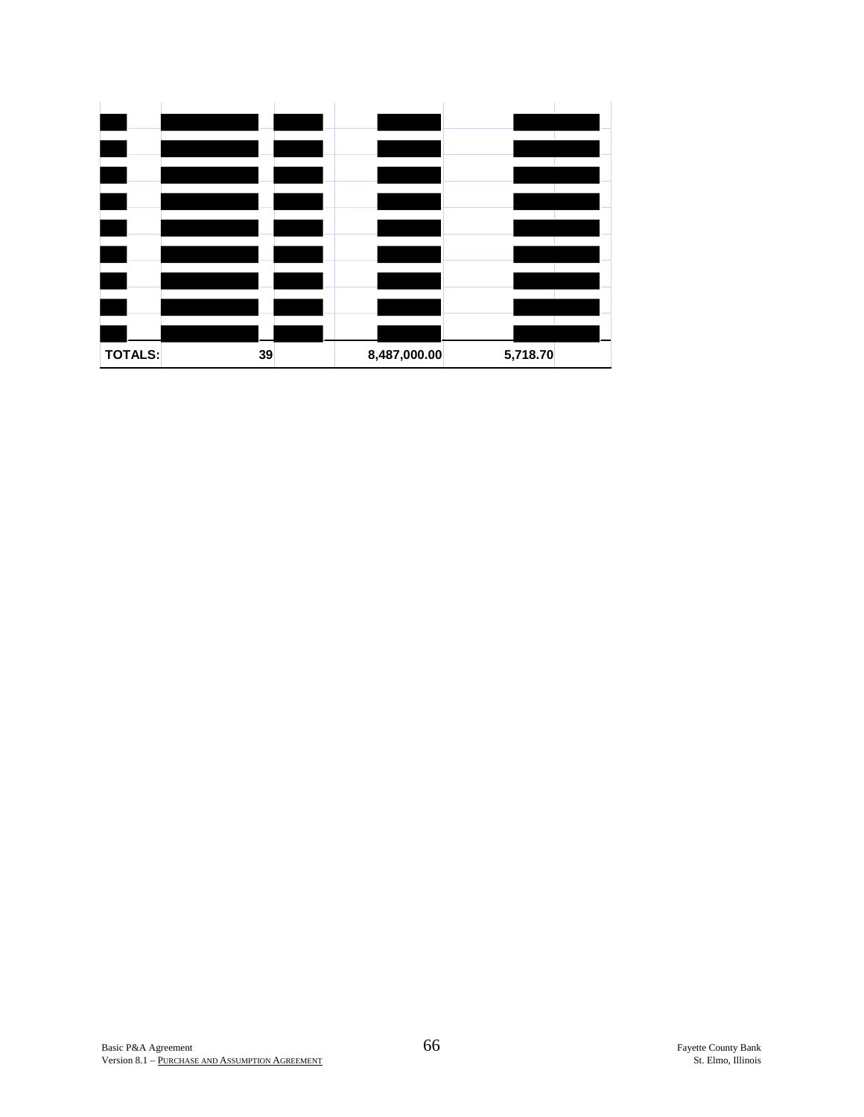| <b>TOTALS:</b> | 39 | 8,487,000.00 | 5,718.70 |  |
|----------------|----|--------------|----------|--|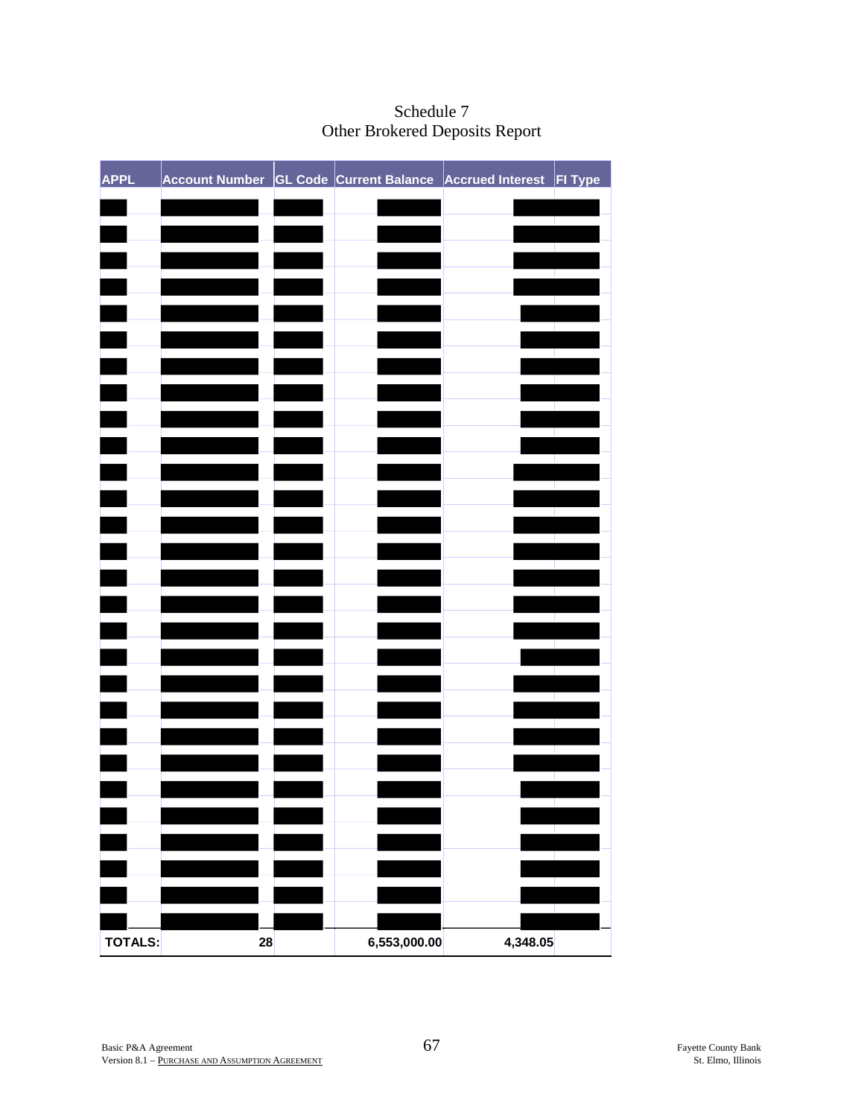| <b>APPL</b> | Account Number CL Code Current Balance Accrued Interest FI Type |              |          |  |
|-------------|-----------------------------------------------------------------|--------------|----------|--|
|             |                                                                 |              |          |  |
|             |                                                                 |              |          |  |
|             |                                                                 |              |          |  |
|             |                                                                 |              |          |  |
|             |                                                                 |              |          |  |
|             |                                                                 |              |          |  |
|             |                                                                 |              |          |  |
|             |                                                                 |              |          |  |
|             |                                                                 |              |          |  |
|             |                                                                 |              |          |  |
|             |                                                                 |              |          |  |
|             |                                                                 |              |          |  |
|             |                                                                 |              |          |  |
|             |                                                                 |              |          |  |
|             |                                                                 |              |          |  |
|             |                                                                 |              |          |  |
|             |                                                                 |              |          |  |
|             |                                                                 |              |          |  |
|             |                                                                 |              |          |  |
|             |                                                                 |              |          |  |
|             |                                                                 |              |          |  |
|             |                                                                 |              |          |  |
|             |                                                                 |              |          |  |
|             |                                                                 |              |          |  |
|             |                                                                 |              |          |  |
|             |                                                                 |              |          |  |
| TOTALS:     | 28                                                              | 6,553,000.00 | 4,348.05 |  |

# Schedule 7 Other Brokered Deposits Report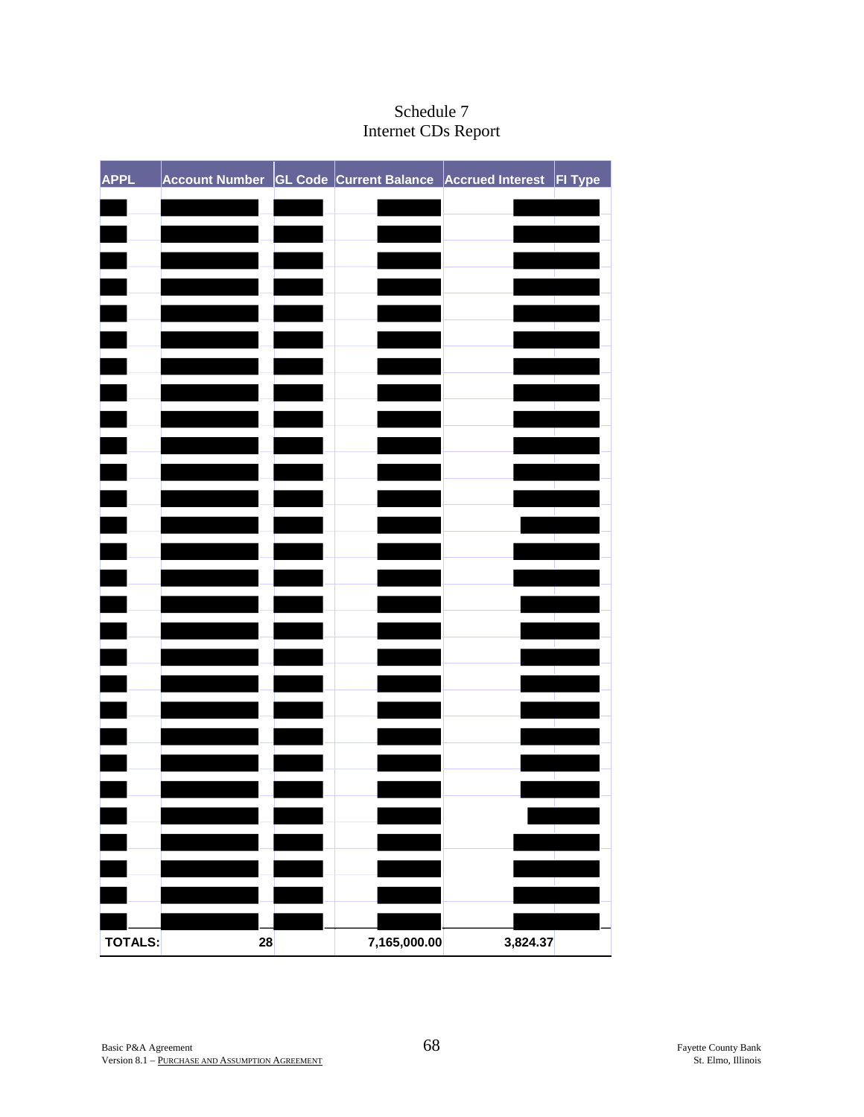| <b>APPL</b> | Account Number GL Code Current Balance Accrued Interest FI Type |              |          |  |
|-------------|-----------------------------------------------------------------|--------------|----------|--|
|             |                                                                 |              |          |  |
|             |                                                                 |              |          |  |
|             |                                                                 |              |          |  |
|             |                                                                 |              |          |  |
|             |                                                                 |              |          |  |
|             |                                                                 |              |          |  |
|             |                                                                 |              |          |  |
|             |                                                                 |              |          |  |
|             |                                                                 |              |          |  |
|             |                                                                 |              |          |  |
|             |                                                                 |              |          |  |
|             |                                                                 |              |          |  |
|             |                                                                 |              |          |  |
|             |                                                                 |              |          |  |
|             |                                                                 |              |          |  |
|             |                                                                 |              |          |  |
|             |                                                                 |              |          |  |
|             |                                                                 |              |          |  |
|             |                                                                 |              |          |  |
|             |                                                                 |              |          |  |
|             |                                                                 |              |          |  |
|             |                                                                 |              |          |  |
|             |                                                                 |              |          |  |
|             |                                                                 |              |          |  |
|             |                                                                 |              |          |  |
|             |                                                                 |              |          |  |
| TOTALS:     | 28                                                              | 7,165,000.00 | 3,824.37 |  |

# Schedule 7 Internet CDs Report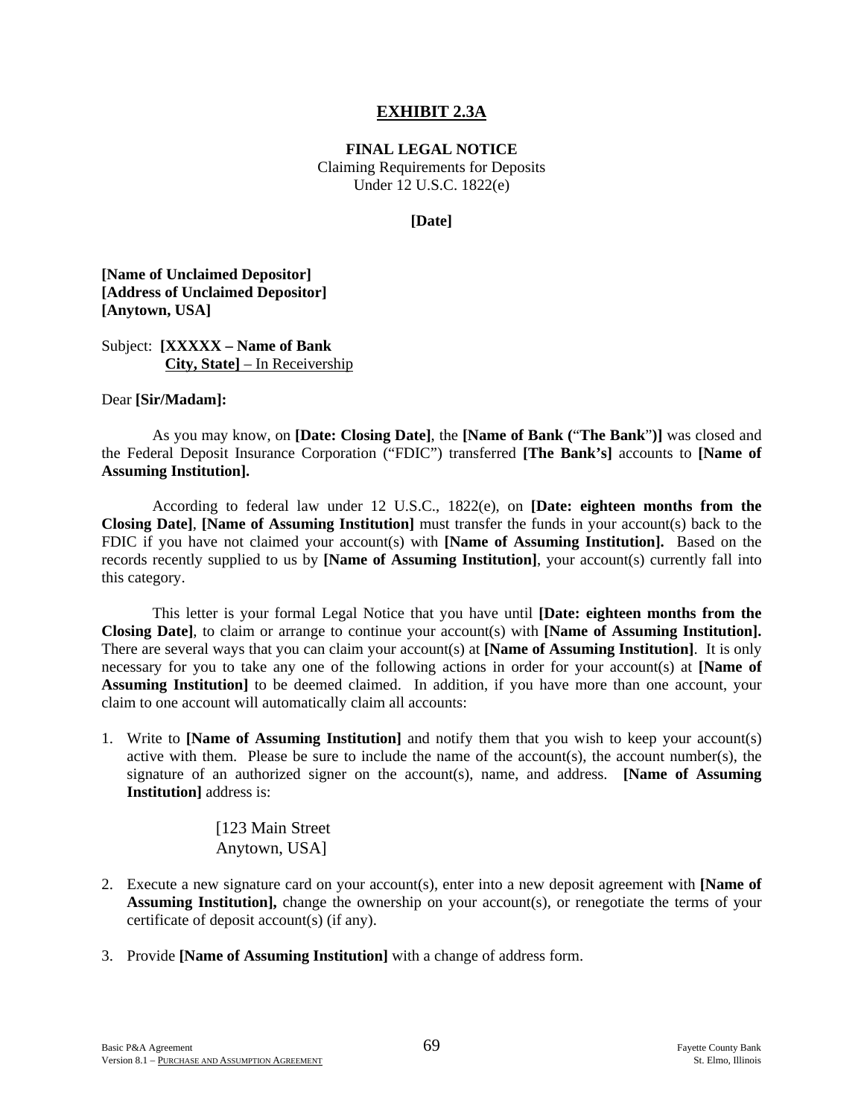#### **EXHIBIT 2.3A**

**FINAL LEGAL NOTICE**

Claiming Requirements for Deposits Under 12 U.S.C. 1822(e)

#### **[Date]**

**[Name of Unclaimed Depositor] [Address of Unclaimed Depositor] [Anytown, USA]**

Subject: **[XXXXX – Name of Bank City, State]** – In Receivership

#### Dear **[Sir/Madam]:**

 As you may know, on **[Date: Closing Date]**, the **[Name of Bank (**"**The Bank**"**)]** was closed and the Federal Deposit Insurance Corporation ("FDIC") transferred **[The Bank's]** accounts to **[Name of Assuming Institution].**

 According to federal law under 12 U.S.C., 1822(e), on **[Date: eighteen months from the Closing Date]**, **[Name of Assuming Institution]** must transfer the funds in your account(s) back to the FDIC if you have not claimed your account(s) with **[Name of Assuming Institution].** Based on the records recently supplied to us by **[Name of Assuming Institution]**, your account(s) currently fall into this category.

 This letter is your formal Legal Notice that you have until **[Date: eighteen months from the Closing Date]**, to claim or arrange to continue your account(s) with **[Name of Assuming Institution].** There are several ways that you can claim your account(s) at **[Name of Assuming Institution]**. It is only necessary for you to take any one of the following actions in order for your account(s) at **[Name of Assuming Institution]** to be deemed claimed. In addition, if you have more than one account, your claim to one account will automatically claim all accounts:

1. Write to **[Name of Assuming Institution]** and notify them that you wish to keep your account(s) active with them. Please be sure to include the name of the account(s), the account number(s), the signature of an authorized signer on the account(s), name, and address. **[Name of Assuming Institution]** address is:

> [123 Main Street Anytown, USA]

- 2. Execute a new signature card on your account(s), enter into a new deposit agreement with **[Name of Assuming Institution],** change the ownership on your account(s), or renegotiate the terms of your certificate of deposit account(s) (if any).
- 3. Provide **[Name of Assuming Institution]** with a change of address form.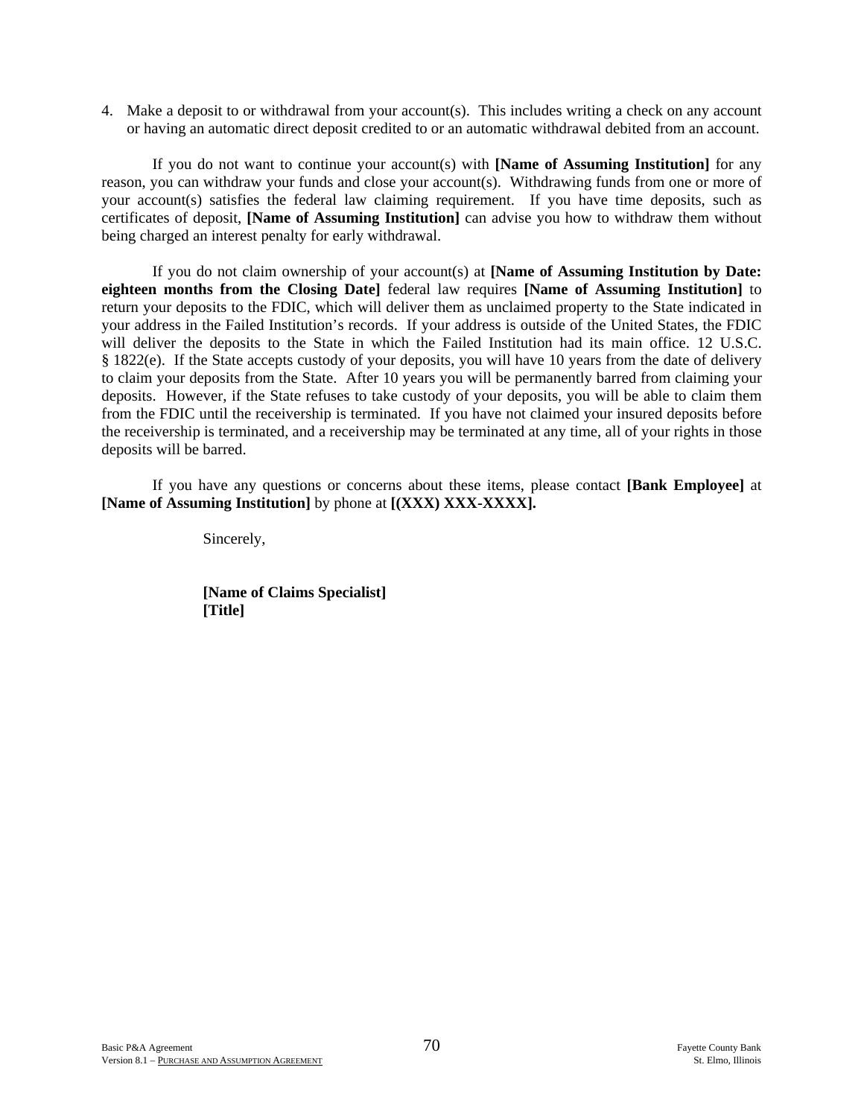4. Make a deposit to or withdrawal from your account(s). This includes writing a check on any account or having an automatic direct deposit credited to or an automatic withdrawal debited from an account.

 If you do not want to continue your account(s) with **[Name of Assuming Institution]** for any reason, you can withdraw your funds and close your account(s). Withdrawing funds from one or more of your account(s) satisfies the federal law claiming requirement. If you have time deposits, such as certificates of deposit, **[Name of Assuming Institution]** can advise you how to withdraw them without being charged an interest penalty for early withdrawal.

 If you do not claim ownership of your account(s) at **[Name of Assuming Institution by Date: eighteen months from the Closing Date]** federal law requires **[Name of Assuming Institution]** to return your deposits to the FDIC, which will deliver them as unclaimed property to the State indicated in your address in the Failed Institution's records. If your address is outside of the United States, the FDIC will deliver the deposits to the State in which the Failed Institution had its main office. 12 U.S.C. § 1822(e). If the State accepts custody of your deposits, you will have 10 years from the date of delivery to claim your deposits from the State. After 10 years you will be permanently barred from claiming your deposits. However, if the State refuses to take custody of your deposits, you will be able to claim them from the FDIC until the receivership is terminated. If you have not claimed your insured deposits before the receivership is terminated, and a receivership may be terminated at any time, all of your rights in those deposits will be barred.

 If you have any questions or concerns about these items, please contact **[Bank Employee]** at **[Name of Assuming Institution]** by phone at **[(XXX) XXX-XXXX].**

Sincerely,

 **[Name of Claims Specialist] [Title]**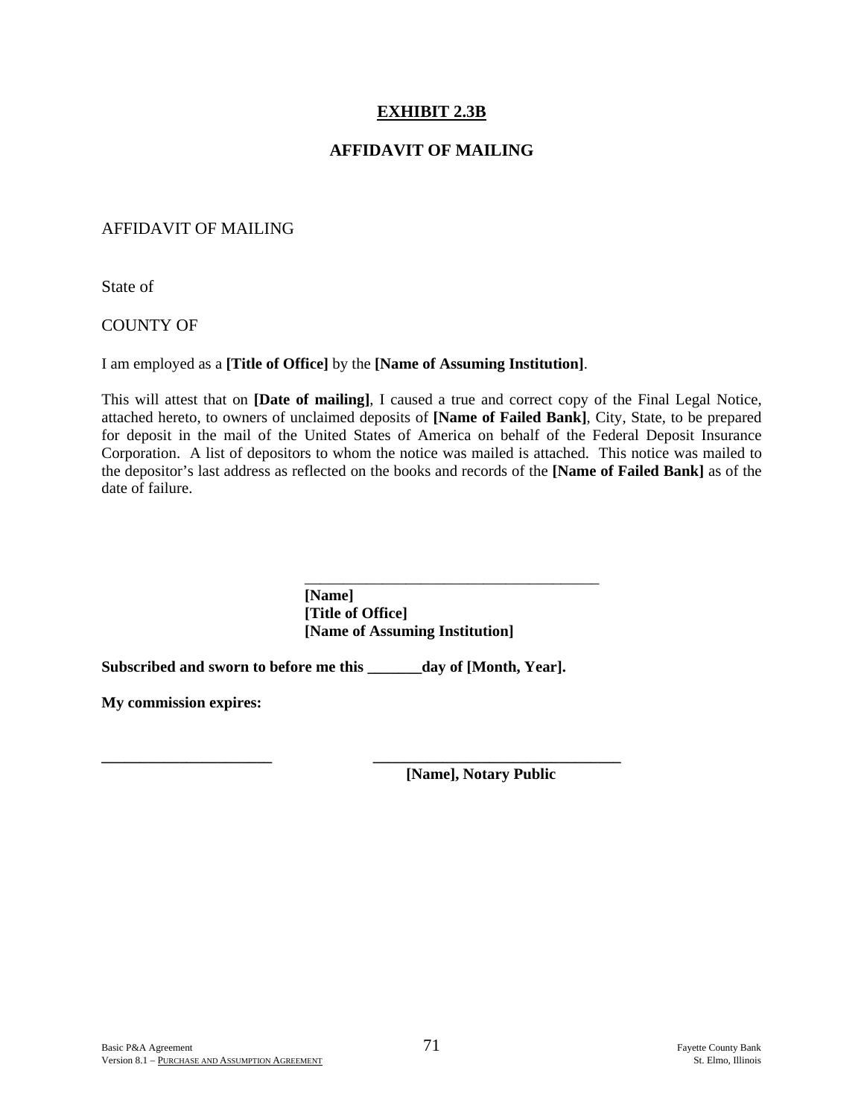# **EXHIBIT 2.3B**

## **AFFIDAVIT OF MAILING**

### AFFIDAVIT OF MAILING

State of

### COUNTY OF

I am employed as a **[Title of Office]** by the **[Name of Assuming Institution]**.

This will attest that on **[Date of mailing]**, I caused a true and correct copy of the Final Legal Notice, attached hereto, to owners of unclaimed deposits of **[Name of Failed Bank]**, City, State, to be prepared for deposit in the mail of the United States of America on behalf of the Federal Deposit Insurance Corporation. A list of depositors to whom the notice was mailed is attached. This notice was mailed to the depositor's last address as reflected on the books and records of the **[Name of Failed Bank]** as of the date of failure.

> **[Name] [Title of Office] [Name of Assuming Institution]**

**Subscribed and sworn to before me this \_\_\_\_\_\_\_day of [Month, Year].** 

 $\overline{\phantom{a}}$  , and the contract of the contract of the contract of the contract of the contract of the contract of the contract of the contract of the contract of the contract of the contract of the contract of the contrac

**My commission expires:** 

**\_\_\_\_\_\_\_\_\_\_\_\_\_\_\_\_\_\_\_\_\_\_ \_\_\_\_\_\_\_\_\_\_\_\_\_\_\_\_\_\_\_\_\_\_\_\_\_\_\_\_\_\_\_\_ [Name], Notary Public**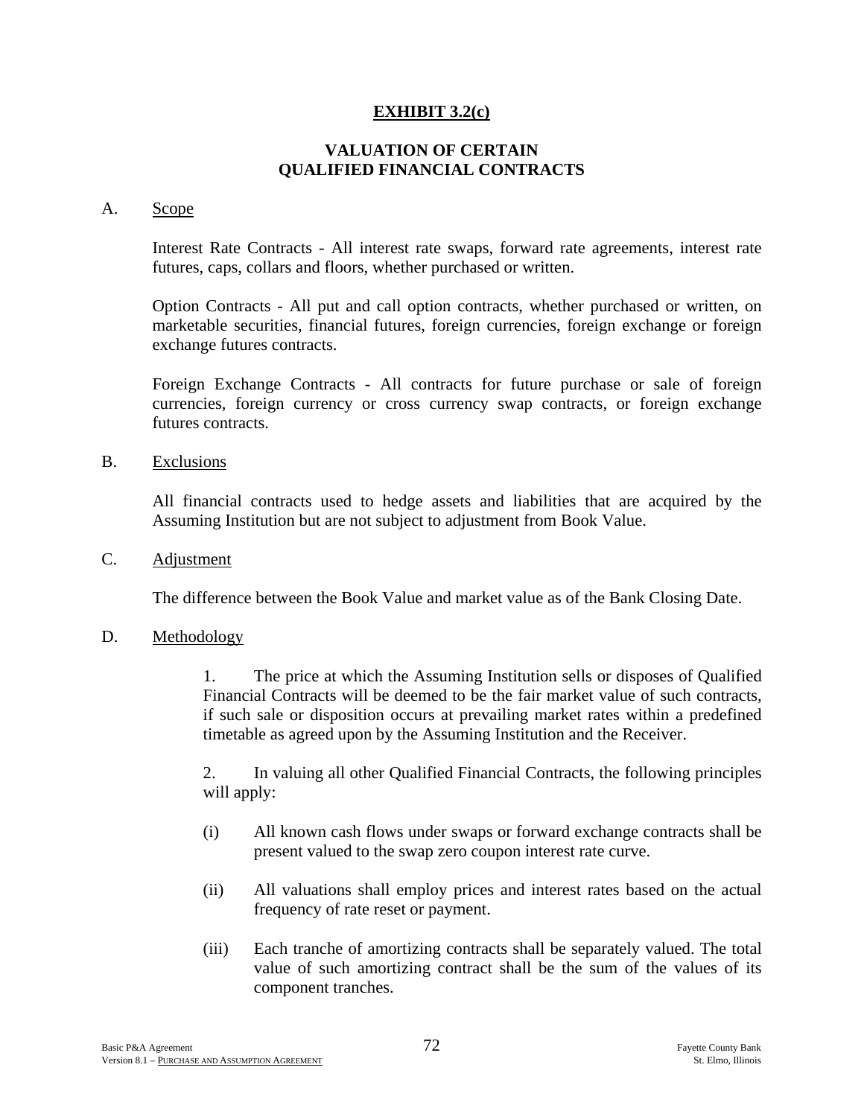# **EXHIBIT 3.2(c)**

# **VALUATION OF CERTAIN QUALIFIED FINANCIAL CONTRACTS**

#### A. Scope

 Interest Rate Contracts - All interest rate swaps, forward rate agreements, interest rate futures, caps, collars and floors, whether purchased or written.

 Option Contracts - All put and call option contracts, whether purchased or written, on marketable securities, financial futures, foreign currencies, foreign exchange or foreign exchange futures contracts.

 Foreign Exchange Contracts - All contracts for future purchase or sale of foreign currencies, foreign currency or cross currency swap contracts, or foreign exchange futures contracts.

B. Exclusions

 All financial contracts used to hedge assets and liabilities that are acquired by the Assuming Institution but are not subject to adjustment from Book Value.

C. Adjustment

The difference between the Book Value and market value as of the Bank Closing Date.

### D. Methodology

 1. The price at which the Assuming Institution sells or disposes of Qualified Financial Contracts will be deemed to be the fair market value of such contracts, if such sale or disposition occurs at prevailing market rates within a predefined timetable as agreed upon by the Assuming Institution and the Receiver.

 2. In valuing all other Qualified Financial Contracts, the following principles will apply:

- (i) All known cash flows under swaps or forward exchange contracts shall be present valued to the swap zero coupon interest rate curve.
- (ii) All valuations shall employ prices and interest rates based on the actual frequency of rate reset or payment.
- (iii) Each tranche of amortizing contracts shall be separately valued. The total value of such amortizing contract shall be the sum of the values of its component tranches.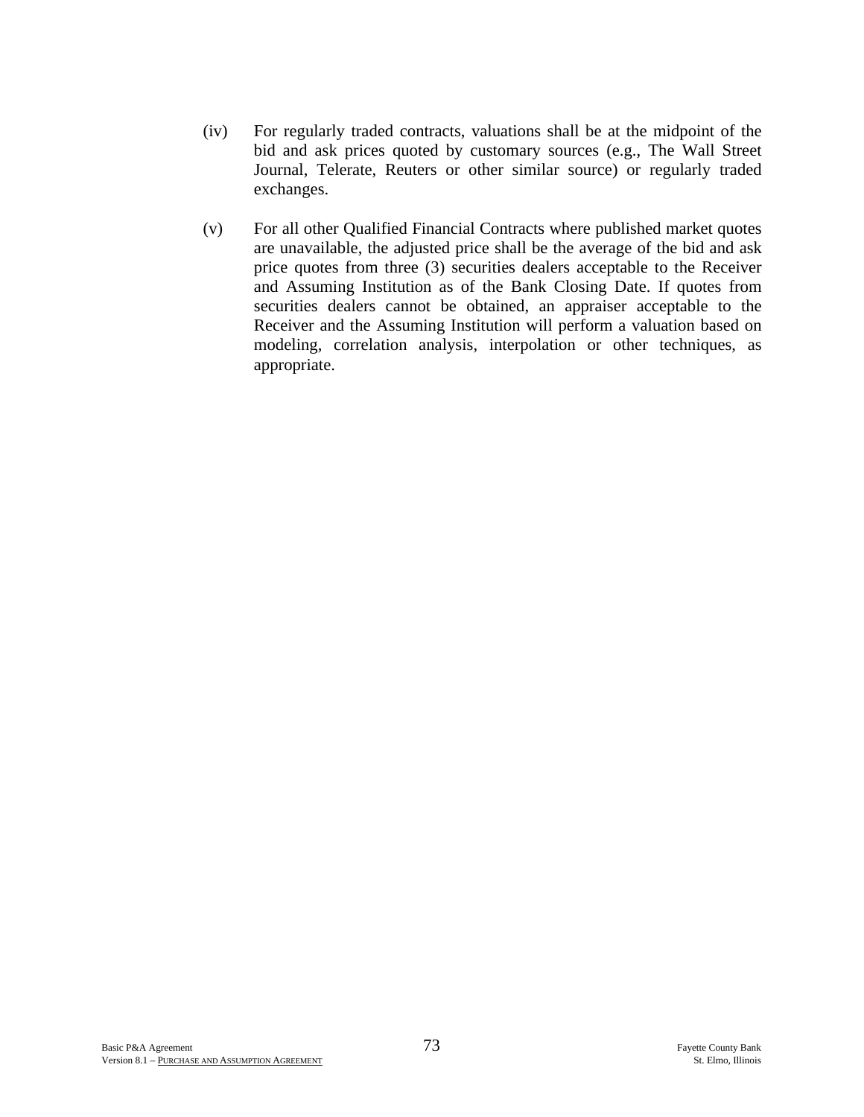- (iv) For regularly traded contracts, valuations shall be at the midpoint of the bid and ask prices quoted by customary sources (e.g., The Wall Street Journal, Telerate, Reuters or other similar source) or regularly traded exchanges.
- (v) For all other Qualified Financial Contracts where published market quotes are unavailable, the adjusted price shall be the average of the bid and ask price quotes from three (3) securities dealers acceptable to the Receiver and Assuming Institution as of the Bank Closing Date. If quotes from securities dealers cannot be obtained, an appraiser acceptable to the Receiver and the Assuming Institution will perform a valuation based on modeling, correlation analysis, interpolation or other techniques, as appropriate.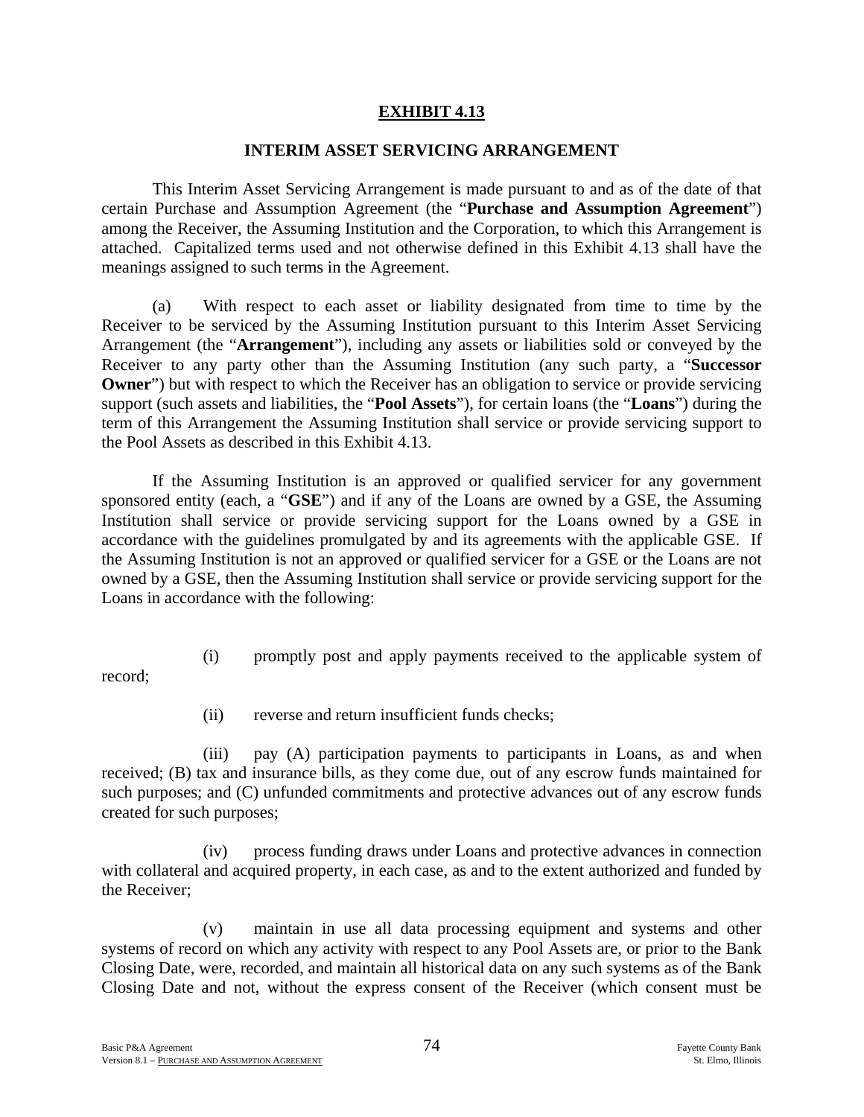# **EXHIBIT 4.13**

#### **INTERIM ASSET SERVICING ARRANGEMENT**

This Interim Asset Servicing Arrangement is made pursuant to and as of the date of that certain Purchase and Assumption Agreement (the "**Purchase and Assumption Agreement**") among the Receiver, the Assuming Institution and the Corporation, to which this Arrangement is attached. Capitalized terms used and not otherwise defined in this Exhibit 4.13 shall have the meanings assigned to such terms in the Agreement.

(a) With respect to each asset or liability designated from time to time by the Receiver to be serviced by the Assuming Institution pursuant to this Interim Asset Servicing Arrangement (the "**Arrangement**"), including any assets or liabilities sold or conveyed by the Receiver to any party other than the Assuming Institution (any such party, a "**Successor Owner**") but with respect to which the Receiver has an obligation to service or provide servicing support (such assets and liabilities, the "**Pool Assets**"), for certain loans (the "**Loans**") during the term of this Arrangement the Assuming Institution shall service or provide servicing support to the Pool Assets as described in this Exhibit 4.13.

If the Assuming Institution is an approved or qualified servicer for any government sponsored entity (each, a "**GSE**") and if any of the Loans are owned by a GSE, the Assuming Institution shall service or provide servicing support for the Loans owned by a GSE in accordance with the guidelines promulgated by and its agreements with the applicable GSE. If the Assuming Institution is not an approved or qualified servicer for a GSE or the Loans are not owned by a GSE, then the Assuming Institution shall service or provide servicing support for the Loans in accordance with the following:

- record;
- (i) promptly post and apply payments received to the applicable system of
- (ii) reverse and return insufficient funds checks;

(iii) pay (A) participation payments to participants in Loans, as and when received; (B) tax and insurance bills, as they come due, out of any escrow funds maintained for such purposes; and (C) unfunded commitments and protective advances out of any escrow funds created for such purposes;

(iv) process funding draws under Loans and protective advances in connection with collateral and acquired property, in each case, as and to the extent authorized and funded by the Receiver;

(v) maintain in use all data processing equipment and systems and other systems of record on which any activity with respect to any Pool Assets are, or prior to the Bank Closing Date, were, recorded, and maintain all historical data on any such systems as of the Bank Closing Date and not, without the express consent of the Receiver (which consent must be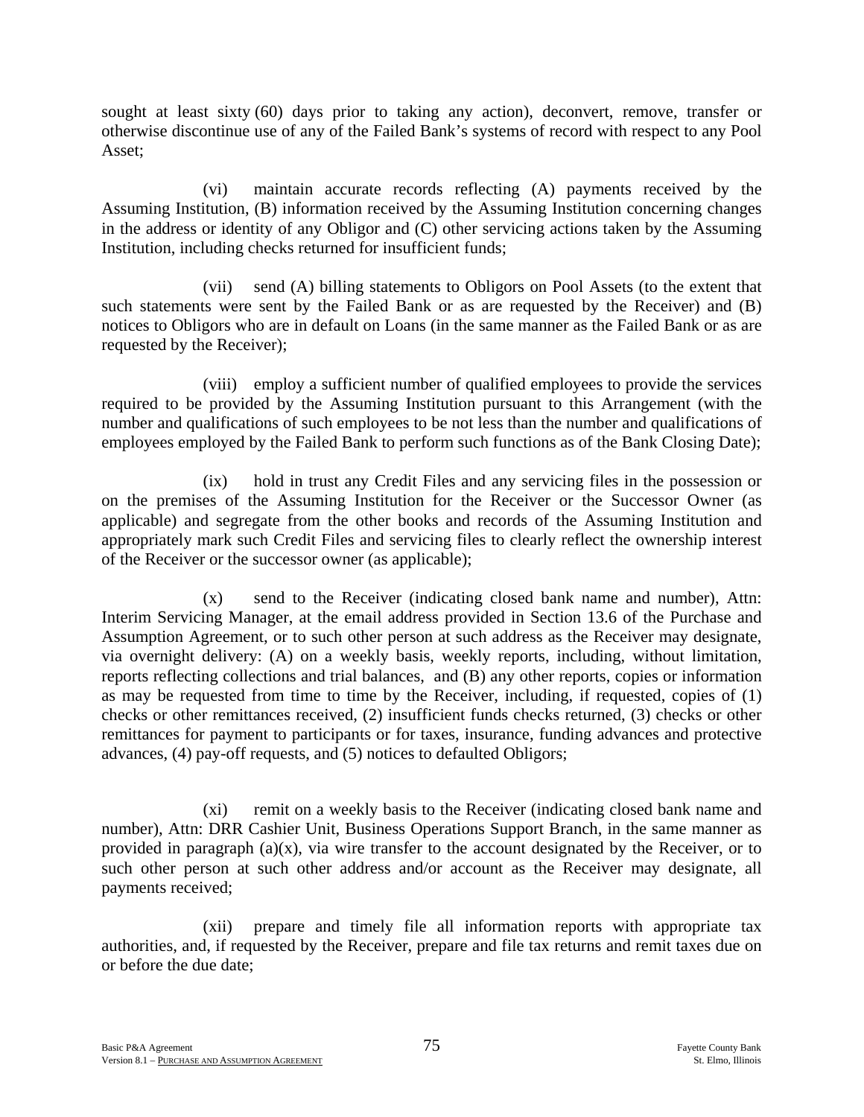sought at least sixty (60) days prior to taking any action), deconvert, remove, transfer or otherwise discontinue use of any of the Failed Bank's systems of record with respect to any Pool Asset;

(vi) maintain accurate records reflecting (A) payments received by the Assuming Institution, (B) information received by the Assuming Institution concerning changes in the address or identity of any Obligor and (C) other servicing actions taken by the Assuming Institution, including checks returned for insufficient funds;

(vii) send (A) billing statements to Obligors on Pool Assets (to the extent that such statements were sent by the Failed Bank or as are requested by the Receiver) and (B) notices to Obligors who are in default on Loans (in the same manner as the Failed Bank or as are requested by the Receiver);

(viii) employ a sufficient number of qualified employees to provide the services required to be provided by the Assuming Institution pursuant to this Arrangement (with the number and qualifications of such employees to be not less than the number and qualifications of employees employed by the Failed Bank to perform such functions as of the Bank Closing Date);

(ix) hold in trust any Credit Files and any servicing files in the possession or on the premises of the Assuming Institution for the Receiver or the Successor Owner (as applicable) and segregate from the other books and records of the Assuming Institution and appropriately mark such Credit Files and servicing files to clearly reflect the ownership interest of the Receiver or the successor owner (as applicable);

(x) send to the Receiver (indicating closed bank name and number), Attn: Interim Servicing Manager, at the email address provided in Section 13.6 of the Purchase and Assumption Agreement, or to such other person at such address as the Receiver may designate, via overnight delivery: (A) on a weekly basis, weekly reports, including, without limitation, reports reflecting collections and trial balances, and (B) any other reports, copies or information as may be requested from time to time by the Receiver, including, if requested, copies of (1) checks or other remittances received, (2) insufficient funds checks returned, (3) checks or other remittances for payment to participants or for taxes, insurance, funding advances and protective advances, (4) pay-off requests, and (5) notices to defaulted Obligors;

(xi) remit on a weekly basis to the Receiver (indicating closed bank name and number), Attn: DRR Cashier Unit, Business Operations Support Branch, in the same manner as provided in paragraph  $(a)(x)$ , via wire transfer to the account designated by the Receiver, or to such other person at such other address and/or account as the Receiver may designate, all payments received;

(xii) prepare and timely file all information reports with appropriate tax authorities, and, if requested by the Receiver, prepare and file tax returns and remit taxes due on or before the due date;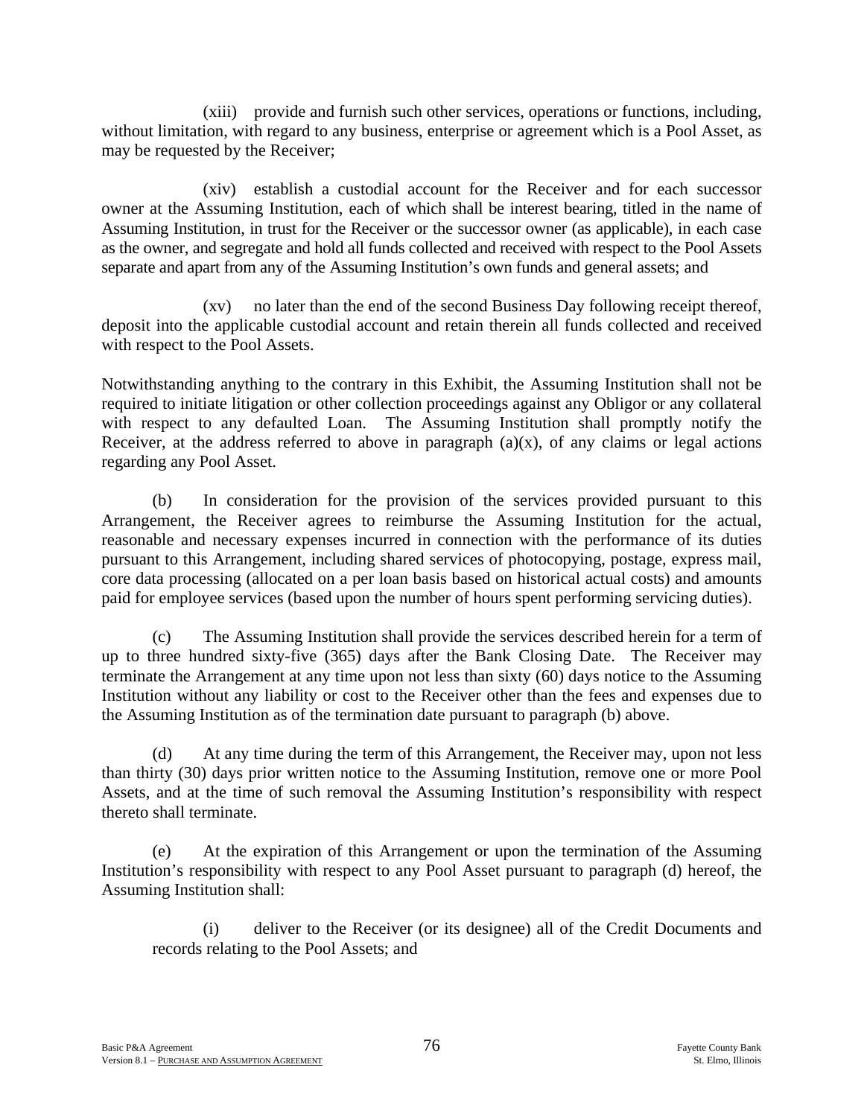(xiii) provide and furnish such other services, operations or functions, including, without limitation, with regard to any business, enterprise or agreement which is a Pool Asset, as may be requested by the Receiver;

(xiv) establish a custodial account for the Receiver and for each successor owner at the Assuming Institution, each of which shall be interest bearing, titled in the name of Assuming Institution, in trust for the Receiver or the successor owner (as applicable), in each case as the owner, and segregate and hold all funds collected and received with respect to the Pool Assets separate and apart from any of the Assuming Institution's own funds and general assets; and

(xv) no later than the end of the second Business Day following receipt thereof, deposit into the applicable custodial account and retain therein all funds collected and received with respect to the Pool Assets.

Notwithstanding anything to the contrary in this Exhibit, the Assuming Institution shall not be required to initiate litigation or other collection proceedings against any Obligor or any collateral with respect to any defaulted Loan. The Assuming Institution shall promptly notify the Receiver, at the address referred to above in paragraph  $(a)(x)$ , of any claims or legal actions regarding any Pool Asset.

(b) In consideration for the provision of the services provided pursuant to this Arrangement, the Receiver agrees to reimburse the Assuming Institution for the actual, reasonable and necessary expenses incurred in connection with the performance of its duties pursuant to this Arrangement, including shared services of photocopying, postage, express mail, core data processing (allocated on a per loan basis based on historical actual costs) and amounts paid for employee services (based upon the number of hours spent performing servicing duties).

(c) The Assuming Institution shall provide the services described herein for a term of up to three hundred sixty-five (365) days after the Bank Closing Date. The Receiver may terminate the Arrangement at any time upon not less than sixty (60) days notice to the Assuming Institution without any liability or cost to the Receiver other than the fees and expenses due to the Assuming Institution as of the termination date pursuant to paragraph (b) above.

(d) At any time during the term of this Arrangement, the Receiver may, upon not less than thirty (30) days prior written notice to the Assuming Institution, remove one or more Pool Assets, and at the time of such removal the Assuming Institution's responsibility with respect thereto shall terminate.

(e) At the expiration of this Arrangement or upon the termination of the Assuming Institution's responsibility with respect to any Pool Asset pursuant to paragraph (d) hereof, the Assuming Institution shall:

(i) deliver to the Receiver (or its designee) all of the Credit Documents and records relating to the Pool Assets; and